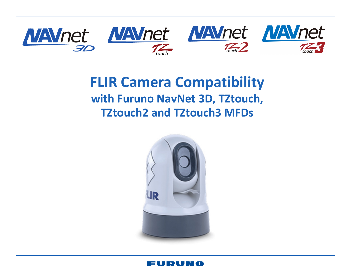

## **FLIR Camera Compatibility with Furuno NavNet 3D, TZtouch, TZtouch2 and TZtouch3 MFDs**



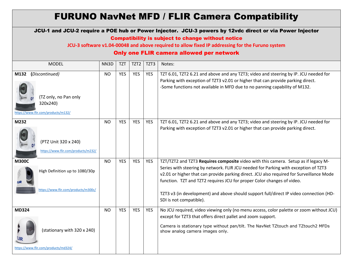## FURUNO NavNet MFD / FLIR Camera Compatibility JCU-1 and JCU-2 require a POE hub or Power Injector. JCU-3 powers by 12vdc direct or via Power Injector Compatibility is subject to change without notice

**JCU-3 software v1.04-00048 and above required to allow fixed IP addressing for the Furuno system**

## Only one FLIR camera allowed per network

| <b>MODEL</b>                                                                                       | NN3D      | <b>TZT</b> | TZT <sub>2</sub> | TZT3       | Notes:                                                                                                                                                                                                                                                                                                                                                                                                                                                               |
|----------------------------------------------------------------------------------------------------|-----------|------------|------------------|------------|----------------------------------------------------------------------------------------------------------------------------------------------------------------------------------------------------------------------------------------------------------------------------------------------------------------------------------------------------------------------------------------------------------------------------------------------------------------------|
| (Discontinued)<br>M132<br>(TZ only, no Pan only<br>320x240)<br>https://www.flir.com/products/m132/ | <b>NO</b> | <b>YES</b> | <b>YES</b>       | <b>YES</b> | TZT 6.01, TZT2 6.21 and above and any TZT3; video and steering by IP. JCU needed for<br>Parking with exception of TZT3 v2.01 or higher that can provide parking direct.<br>-Some functions not available in MFD due to no panning capability of M132.                                                                                                                                                                                                                |
| M232<br>(PTZ Unit 320 x 240)<br>https://www.flir.com/products/m232/                                | <b>NO</b> | <b>YES</b> | <b>YES</b>       | <b>YES</b> | TZT 6.01, TZT2 6.21 and above and any TZT3; video and steering by IP. JCU needed for<br>Parking with exception of TZT3 v2.01 or higher that can provide parking direct.                                                                                                                                                                                                                                                                                              |
| <b>M300C</b><br>High Definition up to 1080/30p<br>https://www.flir.com/products/m300c/             | <b>NO</b> | <b>YES</b> | <b>YES</b>       | <b>YES</b> | TZT/TZT2 and TZT3 Requires composite video with this camera. Setup as if legacy M-<br>Series with steering by network. FLIR JCU needed for Parking with exception of TZT3<br>v2.01 or higher that can provide parking direct. JCU also required for Surveillance Mode<br>function. TZT and TZT2 requires JCU for proper Color changes of video.<br>TZT3 v3 (in development) and above should support full/direct IP video connection (HD-<br>SDI is not compatible). |
| <b>MD324</b><br>(stationary with 320 x 240)<br>https://www.flir.com/products/md324/                | <b>NO</b> | <b>YES</b> | <b>YES</b>       | <b>YES</b> | No JCU required, video viewing only (no menu access, color palette or zoom without JCU)<br>except for TZT3 that offers direct pallet and zoom support.<br>Camera is stationary type without pan/tilt. The NavNet TZtouch and TZtouch2 MFDs<br>show analog camera images only.                                                                                                                                                                                        |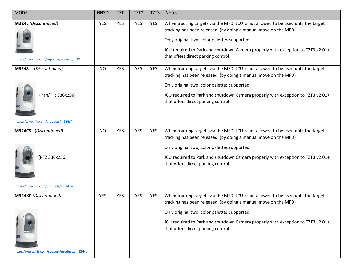| <b>MODEL</b>                                                                                 | NN3D       | <b>TZT</b> | TZT <sub>2</sub> | TZT3       | Notes:                                                                                                                                                                                                                                                                                                                        |
|----------------------------------------------------------------------------------------------|------------|------------|------------------|------------|-------------------------------------------------------------------------------------------------------------------------------------------------------------------------------------------------------------------------------------------------------------------------------------------------------------------------------|
| M324L (Discontinued)<br>https://www.flir.com/support/products/m324l                          | <b>YES</b> | <b>YES</b> | <b>YES</b>       | <b>YES</b> | When tracking targets via the MFD, JCU is not allowed to be used until the target<br>tracking has been released. (by doing a manual move on the MFD)<br>Only original two, color palettes supported<br>JCU required to Park and shutdown Camera properly with exception to TZT3 v2.01+<br>that offers direct parking control. |
| (Discontinued)<br><b>M324S</b><br>(Pan/Tilt 336x256)<br>https://www.flir.com/products/m324s/ | <b>NO</b>  | <b>YES</b> | <b>YES</b>       | <b>YES</b> | When tracking targets via the MFD, JCU is not allowed to be used until the target<br>tracking has been released. (by doing a manual move on the MFD)<br>Only original two, color palettes supported<br>JCU required to Park and shutdown Camera properly with exception to TZT3 v2.01+<br>that offers direct parking control. |
| M324CS (Discontinued)<br>(PTZ 336x256)<br>https://www.flir.com/products/m324cs/              | <b>NO</b>  | <b>YES</b> | <b>YES</b>       | <b>YES</b> | When tracking targets via the MFD, JCU is not allowed to be used until the target<br>tracking has been released. (by doing a manual move on the MFD)<br>Only original two, color palettes supported<br>JCU required to Park and shutdown Camera properly with exception to TZT3 v2.01+<br>that offers direct parking control. |
| M324XP (Discontinued)<br>https://www.flir.com/support/products/m324xp                        | <b>YES</b> | <b>YES</b> | <b>YES</b>       | <b>YES</b> | When tracking targets via the MFD, JCU is not allowed to be used until the target<br>tracking has been released. (by doing a manual move on the MFD)<br>Only original two, color palettes supported<br>JCU required to Park and shutdown Camera properly with exception to TZT3 v2.01+<br>that offers direct parking control. |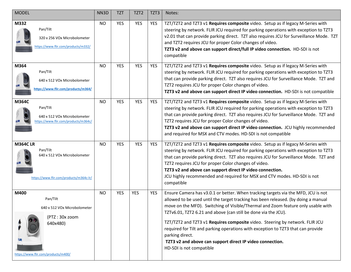| <b>MODEL</b>                                                                                                          | NN3D      | <b>TZT</b> | TZT <sub>2</sub> | TZT3       | Notes:                                                                                                                                                                                                                                                                                                                                                                                                                                                                                                                                                                                                        |
|-----------------------------------------------------------------------------------------------------------------------|-----------|------------|------------------|------------|---------------------------------------------------------------------------------------------------------------------------------------------------------------------------------------------------------------------------------------------------------------------------------------------------------------------------------------------------------------------------------------------------------------------------------------------------------------------------------------------------------------------------------------------------------------------------------------------------------------|
| M332<br>Pan/Tilt<br>320 x 256 VOx Microbolometer<br>https://www.flir.com/products/m332/                               | <b>NO</b> | <b>YES</b> | <b>YES</b>       | <b>YES</b> | TZT/TZT2 and TZT3 v1 Requires composite video. Setup as if legacy M-Series with<br>steering by network. FLIR JCU required for parking operations with exception to TZT3<br>v2.01 that can provide parking direct. TZT also requires JCU for Surveillance Mode. TZT<br>and TZT2 requires JCU for proper Color changes of video.<br>TZT3 v2 and above can support direct/full IP video connection. HD-SDI is not<br>compatible                                                                                                                                                                                  |
| M364<br>Pan/Tilt<br>640 x 512 VOx Microbolometer<br>https://www.flir.com/products/m364/                               | <b>NO</b> | <b>YES</b> | <b>YES</b>       | <b>YES</b> | TZT/TZT2 and TZT3 v1 Requires composite video. Setup as if legacy M-Series with<br>steering by network. FLIR JCU required for parking operations with exception to TZT3<br>that can provide parking direct. TZT also requires JCU for Surveillance Mode. TZT and<br>TZT2 requires JCU for proper Color changes of video.<br>TZT3 v2 and above can support direct IP video connection. HD-SDI is not compatible                                                                                                                                                                                                |
| M364C<br>Pan/Tilt<br>640 x 512 VOx Microbolometer<br>https://www.flir.com/products/m364c/                             | <b>NO</b> | <b>YES</b> | <b>YES</b>       | <b>YES</b> | TZT/TZT2 and TZT3 v1 Requires composite video. Setup as if legacy M-Series with<br>steering by network. FLIR JCU required for parking operations with exception to TZT3<br>that can provide parking direct. TZT also requires JCU for Surveillance Mode. TZT and<br>TZT2 requires JCU for proper Color changes of video.<br>TZT3 v2 and above can support direct IP video connection. JCU highly recommended<br>and required for MSX and CTV modes. HD-SDI is not compatible                                                                                                                                  |
| <b>M364CLR</b><br>Pan/Tilt<br>640 x 512 VOx Microbolometer<br>https://www.flir.com/products/m364c-lr/                 | <b>NO</b> | <b>YES</b> | <b>YES</b>       | <b>YES</b> | TZT/TZT2 and TZT3 v1 Requires composite video. Setup as if legacy M-Series with<br>steering by network. FLIR JCU required for parking operations with exception to TZT3<br>that can provide parking direct. TZT also requires JCU for Surveillance Mode. TZT and<br>TZT2 requires JCU for proper Color changes of video.<br>TZT3 v2 and above can support direct IP video connection.<br>JCU highly recommended and required for MSX and CTV modes. HD-SDI is not<br>compatible                                                                                                                               |
| M400<br>Pan/Tilt<br>640 x 512 VOx Microbolometer<br>(PTZ: 30x zoom<br>640x480)<br>https://www.flir.com/products/m400/ | <b>NO</b> | <b>YES</b> | <b>YES</b>       | <b>YES</b> | Ensure Camera has v3.0.1 or better. When tracking targets via the MFD, JCU is not<br>allowed to be used until the target tracking has been released. (by doing a manual<br>move on the MFD). Switching of Visible/Thermal and Zoom feature only usable with<br>TZTv6.01, TZT2 6.21 and above (can still be done via the JCU).<br>TZT/TZT2 and TZT3 v1 Requires composite video. Steering by network. FLIR JCU<br>required for Tilt and parking operations with exception to TZT3 that can provide<br>parking direct.<br>TZT3 v2 and above can support direct IP video connection.<br>HD-SDI is not compatible |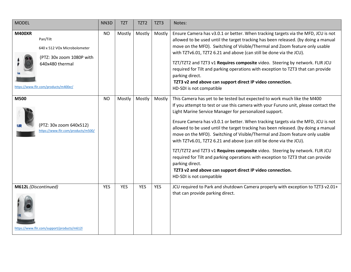| <b>MODEL</b>                                                                                                                                       | NN3D       | <b>TZT</b> | TZT <sub>2</sub> | TZT3       | Notes:                                                                                                                                                                                                                                                                                                                                                                                                                                                                                                                                                                                                                                                                                                                                                                                                                                     |
|----------------------------------------------------------------------------------------------------------------------------------------------------|------------|------------|------------------|------------|--------------------------------------------------------------------------------------------------------------------------------------------------------------------------------------------------------------------------------------------------------------------------------------------------------------------------------------------------------------------------------------------------------------------------------------------------------------------------------------------------------------------------------------------------------------------------------------------------------------------------------------------------------------------------------------------------------------------------------------------------------------------------------------------------------------------------------------------|
| <b>M400XR</b><br>Pan/Tilt<br>640 x 512 VOx Microbolometer<br>(PTZ: 30x zoom 1080P with<br>640x480 thermal<br>https://www.flir.com/products/m400xr/ | <b>NO</b>  | Mostly     | Mostly           | Mostly     | Ensure Camera has v3.0.1 or better. When tracking targets via the MFD, JCU is not<br>allowed to be used until the target tracking has been released. (by doing a manual<br>move on the MFD). Switching of Visible/Thermal and Zoom feature only usable<br>with TZTv6.01, TZT2 6.21 and above (can still be done via the JCU).<br>TZT/TZT2 and TZT3 v1 Requires composite video. Steering by network. FLIR JCU<br>required for Tilt and parking operations with exception to TZT3 that can provide<br>parking direct.<br>TZT3 v2 and above can support direct IP video connection.<br>HD-SDI is not compatible                                                                                                                                                                                                                              |
| M500<br>(PTZ: 30x zoom 640x512)<br>https://www.flir.com/products/m500/                                                                             | <b>NO</b>  | Mostly     | Mostly           | Mostly     | This Camera has yet to be tested but expected to work much like the M400<br>If you attempt to test or use this camera with your Furuno unit, please contact the<br>Light Marine Service Manager for personalized support.<br>Ensure Camera has v3.0.1 or better. When tracking targets via the MFD, JCU is not<br>allowed to be used until the target tracking has been released. (by doing a manual<br>move on the MFD). Switching of Visible/Thermal and Zoom feature only usable<br>with TZTv6.01, TZT2 6.21 and above (can still be done via the JCU).<br>TZT/TZT2 and TZT3 v1 Requires composite video. Steering by network. FLIR JCU<br>required for Tilt and parking operations with exception to TZT3 that can provide<br>parking direct.<br>TZT3 v2 and above can support direct IP video connection.<br>HD-SDI is not compatible |
| M612L (Discontinued)<br>https://www.flir.com/support/products/m612l                                                                                | <b>YES</b> | <b>YES</b> | <b>YES</b>       | <b>YES</b> | JCU required to Park and shutdown Camera properly with exception to TZT3 v2.01+<br>that can provide parking direct.                                                                                                                                                                                                                                                                                                                                                                                                                                                                                                                                                                                                                                                                                                                        |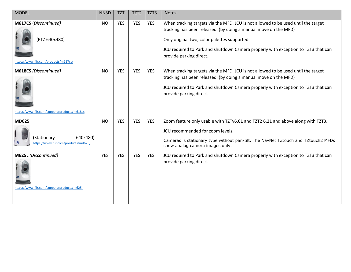| <b>MODEL</b>                                                                    | NN3D       | <b>TZT</b> | TZT <sub>2</sub> | TZT3       | Notes:                                                                                                                                                                                                                                                                                                              |
|---------------------------------------------------------------------------------|------------|------------|------------------|------------|---------------------------------------------------------------------------------------------------------------------------------------------------------------------------------------------------------------------------------------------------------------------------------------------------------------------|
| M617CS (Discontinued)<br>(PTZ 640x480)<br>https://www.flir.com/products/m617cs/ | <b>NO</b>  | <b>YES</b> | <b>YES</b>       | <b>YES</b> | When tracking targets via the MFD, JCU is not allowed to be used until the target<br>tracking has been released. (by doing a manual move on the MFD)<br>Only original two, color palettes supported<br>JCU required to Park and shutdown Camera properly with exception to TZT3 that can<br>provide parking direct. |
| M618CS (Discontinued)<br>https://www.flir.com/support/products/m618cs           | <b>NO</b>  | <b>YES</b> | <b>YES</b>       | <b>YES</b> | When tracking targets via the MFD, JCU is not allowed to be used until the target<br>tracking has been released. (by doing a manual move on the MFD)<br>JCU required to Park and shutdown Camera properly with exception to TZT3 that can<br>provide parking direct.                                                |
| <b>MD625</b><br>(Stationary<br>640x480)<br>https://www.flir.com/products/md625/ | <b>NO</b>  | <b>YES</b> | <b>YES</b>       | <b>YES</b> | Zoom feature only usable with TZTv6.01 and TZT2 6.21 and above along with TZT3.<br>JCU recommended for zoom levels.<br>Cameras is stationary type without pan/tilt. The NavNet TZtouch and TZtouch2 MFDs<br>show analog camera images only.                                                                         |
| M625L (Discontinued)<br>https://www.flir.com/support/products/m6251             | <b>YES</b> | <b>YES</b> | YES              | <b>YES</b> | JCU required to Park and shutdown Camera properly with exception to TZT3 that can<br>provide parking direct.                                                                                                                                                                                                        |
|                                                                                 |            |            |                  |            |                                                                                                                                                                                                                                                                                                                     |